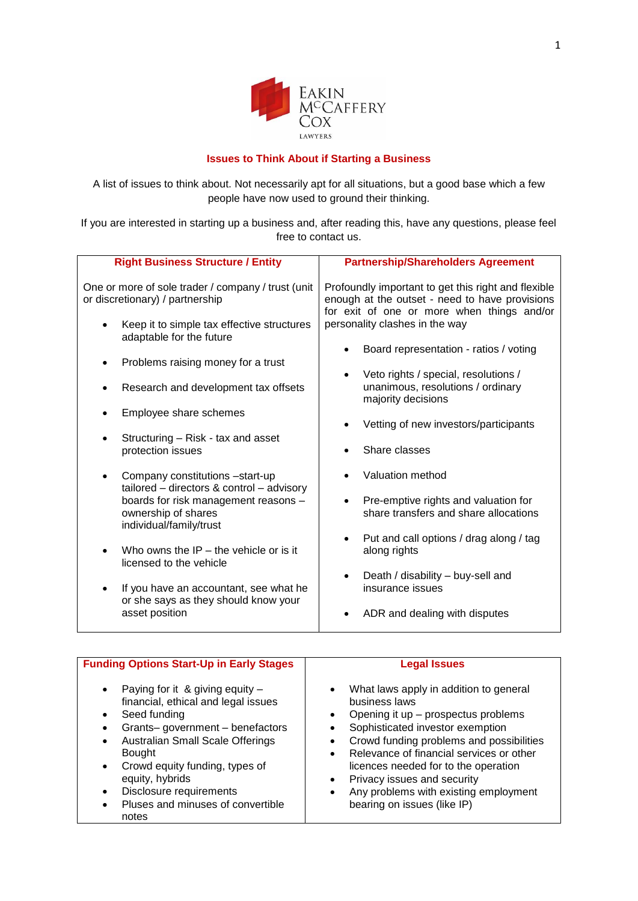

## **Issues to Think About if Starting a Business**

A list of issues to think about. Not necessarily apt for all situations, but a good base which a few people have now used to ground their thinking.

If you are interested in starting up a business and, after reading this, have any questions, please feel free to contact us.

| <b>Right Business Structure / Entity</b>                                               | <b>Partnership/Shareholders Agreement</b>                                                                                                           |
|----------------------------------------------------------------------------------------|-----------------------------------------------------------------------------------------------------------------------------------------------------|
| One or more of sole trader / company / trust (unit<br>or discretionary) / partnership  | Profoundly important to get this right and flexible<br>enough at the outset - need to have provisions<br>for exit of one or more when things and/or |
| Keep it to simple tax effective structures<br>adaptable for the future                 | personality clashes in the way                                                                                                                      |
| Problems raising money for a trust                                                     | Board representation - ratios / voting                                                                                                              |
| Research and development tax offsets                                                   | Veto rights / special, resolutions /<br>unanimous, resolutions / ordinary<br>majority decisions                                                     |
| Employee share schemes                                                                 | Vetting of new investors/participants                                                                                                               |
| Structuring – Risk - tax and asset<br>protection issues                                | Share classes                                                                                                                                       |
| Company constitutions -start-up<br>$tailored$ – directors & control – advisory         | Valuation method                                                                                                                                    |
| boards for risk management reasons -<br>ownership of shares<br>individual/family/trust | Pre-emptive rights and valuation for<br>share transfers and share allocations                                                                       |
| Who owns the $IP$ – the vehicle or is it<br>licensed to the vehicle                    | Put and call options / drag along / tag<br>along rights                                                                                             |
| If you have an accountant, see what he<br>or she says as they should know your         | Death / disability - buy-sell and<br>insurance issues                                                                                               |
| asset position                                                                         | ADR and dealing with disputes                                                                                                                       |

| <b>Funding Options Start-Up in Early Stages</b>                                                                                                                                                                                                                                                                                     | <b>Legal Issues</b>                                                                                                                                                                                                                                                                                                                                                                                                                                                  |
|-------------------------------------------------------------------------------------------------------------------------------------------------------------------------------------------------------------------------------------------------------------------------------------------------------------------------------------|----------------------------------------------------------------------------------------------------------------------------------------------------------------------------------------------------------------------------------------------------------------------------------------------------------------------------------------------------------------------------------------------------------------------------------------------------------------------|
| Paying for it & giving equity $-$<br>٠<br>financial, ethical and legal issues<br>Seed funding<br>Grants-government-benefactors<br>Australian Small Scale Offerings<br>٠<br><b>Bought</b><br>Crowd equity funding, types of<br>$\bullet$<br>equity, hybrids<br>Disclosure requirements<br>Pluses and minuses of convertible<br>notes | What laws apply in addition to general<br>$\bullet$<br>business laws<br>Opening it up - prospectus problems<br>$\bullet$<br>Sophisticated investor exemption<br>$\bullet$<br>Crowd funding problems and possibilities<br>$\bullet$<br>Relevance of financial services or other<br>$\bullet$<br>licences needed for to the operation<br>Privacy issues and security<br>$\bullet$<br>Any problems with existing employment<br>$\bullet$<br>bearing on issues (like IP) |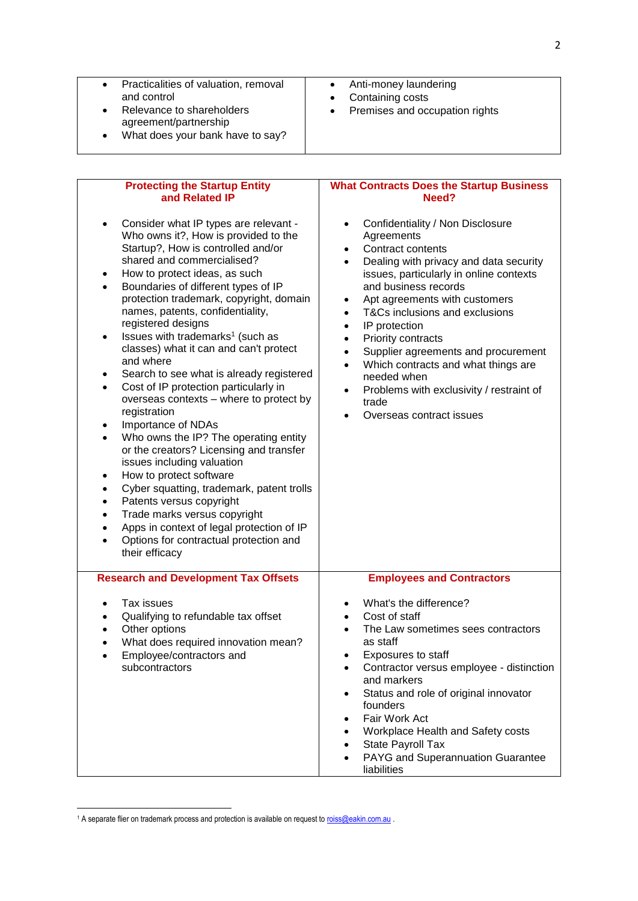| Practicalities of valuation, removal<br>$\bullet$<br>and control<br>Relevance to shareholders<br>$\bullet$<br>agreement/partnership<br>What does your bank have to say?<br>$\bullet$                               | Anti-money laundering<br>$\bullet$<br>Containing costs<br>$\bullet$<br>Premises and occupation rights<br>$\bullet$                      |
|--------------------------------------------------------------------------------------------------------------------------------------------------------------------------------------------------------------------|-----------------------------------------------------------------------------------------------------------------------------------------|
| <b>Protecting the Startup Entity</b>                                                                                                                                                                               | <b>What Contracts Does the Startup Business</b>                                                                                         |
| and Related IP                                                                                                                                                                                                     | Need?                                                                                                                                   |
| Consider what IP types are relevant -<br>$\bullet$<br>Who owns it?, How is provided to the<br>Startup?, How is controlled and/or<br>shared and commercialised?                                                     | Confidentiality / Non Disclosure<br>Agreements<br>Contract contents<br>Dealing with privacy and data security                           |
| How to protect ideas, as such<br>$\bullet$                                                                                                                                                                         | issues, particularly in online contexts                                                                                                 |
| Boundaries of different types of IP<br>$\bullet$<br>protection trademark, copyright, domain<br>names, patents, confidentiality,<br>registered designs<br>Issues with trademarks <sup>1</sup> (such as<br>$\bullet$ | and business records<br>Apt agreements with customers<br>٠<br>T&Cs inclusions and exclusions<br>$\bullet$<br>IP protection<br>$\bullet$ |
| classes) what it can and can't protect<br>and where                                                                                                                                                                | Priority contracts<br>$\bullet$<br>Supplier agreements and procurement<br>$\bullet$<br>Which contracts and what things are<br>$\bullet$ |
| Search to see what is already registered                                                                                                                                                                           | needed when                                                                                                                             |
| Cost of IP protection particularly in<br>$\bullet$<br>overseas contexts - where to protect by<br>registration                                                                                                      | Problems with exclusivity / restraint of<br>$\bullet$<br>trade                                                                          |
| Importance of NDAs<br>$\bullet$                                                                                                                                                                                    | Overseas contract issues                                                                                                                |
| Who owns the IP? The operating entity<br>$\bullet$                                                                                                                                                                 |                                                                                                                                         |
| or the creators? Licensing and transfer<br>issues including valuation                                                                                                                                              |                                                                                                                                         |
| How to protect software<br>٠                                                                                                                                                                                       |                                                                                                                                         |
| Cyber squatting, trademark, patent trolls<br>$\bullet$                                                                                                                                                             |                                                                                                                                         |
| Patents versus copyright<br>$\bullet$                                                                                                                                                                              |                                                                                                                                         |
| Trade marks versus copyright<br>$\bullet$                                                                                                                                                                          |                                                                                                                                         |
| Apps in context of legal protection of IP                                                                                                                                                                          |                                                                                                                                         |
| Options for contractual protection and<br>$\bullet$<br>their efficacy                                                                                                                                              |                                                                                                                                         |
| <b>Research and Development Tax Offsets</b>                                                                                                                                                                        | <b>Employees and Contractors</b>                                                                                                        |
| Tax issues<br>$\bullet$                                                                                                                                                                                            | What's the difference?<br>٠                                                                                                             |
| Qualifying to refundable tax offset                                                                                                                                                                                | Cost of staff                                                                                                                           |
| Other options<br>٠                                                                                                                                                                                                 | The Law sometimes sees contractors                                                                                                      |
| What does required innovation mean?                                                                                                                                                                                | as staff                                                                                                                                |
| Employee/contractors and<br>$\bullet$                                                                                                                                                                              | Exposures to staff<br>٠                                                                                                                 |
| subcontractors                                                                                                                                                                                                     | Contractor versus employee - distinction<br>$\bullet$                                                                                   |
|                                                                                                                                                                                                                    | and markers                                                                                                                             |
|                                                                                                                                                                                                                    | Status and role of original innovator<br>$\bullet$<br>founders                                                                          |
|                                                                                                                                                                                                                    | Fair Work Act<br>٠                                                                                                                      |
|                                                                                                                                                                                                                    | Workplace Health and Safety costs                                                                                                       |
|                                                                                                                                                                                                                    | State Payroll Tax                                                                                                                       |
|                                                                                                                                                                                                                    | PAYG and Superannuation Guarantee                                                                                                       |
|                                                                                                                                                                                                                    | liabilities                                                                                                                             |

<sup>1</sup> A separate flier on trademark process and protection is available on request t[o roiss@eakin.com.au](mailto:roiss@eakin.com.au) .

**.**